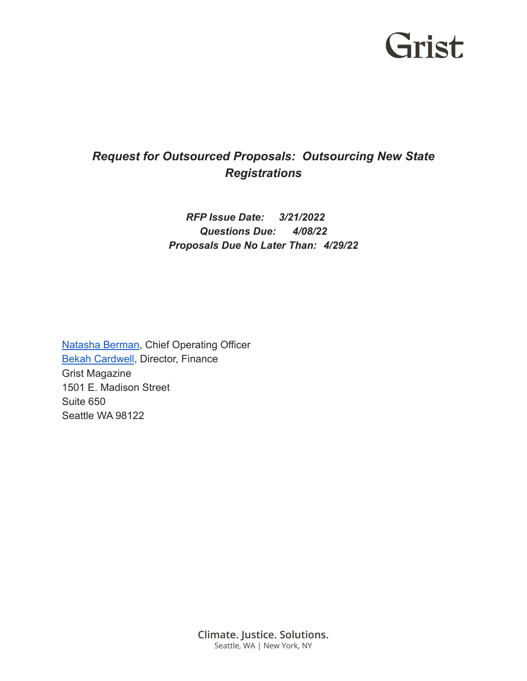## Grist

### *Request for Outsourced Proposals: Outsourcing New State Registrations*

#### *RFP Issue Date: 3/21/2022 Questions Due: 4/08/22 Proposals Due No Later Than: 4/29/22*

[Natasha Berman](mailto:nberman@grist.org), Chief Operating Officer [Bekah Cardwell](mailto:bcardwell@grist.org), Director, Finance Grist Magazine 1501 E. Madison Street Suite 650 Seattle WA 98122

> **Climate. Justice. Solutions.** Seattle, WA | New York, NY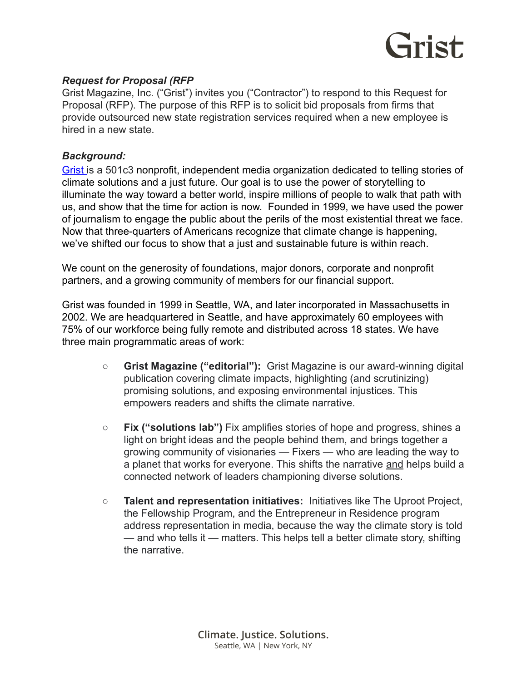

#### *Request for Proposal (RFP*

Grist Magazine, Inc. ("Grist") invites you ("Contractor") to respond to this Request for Proposal (RFP). The purpose of this RFP is to solicit bid proposals from firms that provide outsourced new state registration services required when a new employee is hired in a new state.

#### *Background:*

[Grist](https://grist.org/) is a 501c3 nonprofit, independent media organization dedicated to telling stories of climate solutions and a just future. Our goal is to use the power of storytelling to illuminate the way toward a better world, inspire millions of people to walk that path with us, and show that the time for action is now. Founded in 1999, we have used the power of journalism to engage the public about the perils of the most existential threat we face. Now that three-quarters of Americans recognize that climate change is happening, we've shifted our focus to show that a just and sustainable future is within reach.

We count on the generosity of foundations, major donors, corporate and nonprofit partners, and a growing community of members for our financial support.

Grist was founded in 1999 in Seattle, WA, and later incorporated in Massachusetts in 2002. We are headquartered in Seattle, and have approximately 60 employees with 75% of our workforce being fully remote and distributed across 18 states. We have three main programmatic areas of work:

- **Grist Magazine ("editorial"):** Grist Magazine is our award-winning digital publication covering climate impacts, highlighting (and scrutinizing) promising solutions, and exposing environmental injustices. This empowers readers and shifts the climate narrative.
- **Fix ("solutions lab")** Fix amplifies stories of hope and progress, shines a light on bright ideas and the people behind them, and brings together a growing community of visionaries — Fixers — who are leading the way to a planet that works for everyone. This shifts the narrative and helps build a connected network of leaders championing diverse solutions.
- **Talent and representation initiatives:** Initiatives like The Uproot Project, the Fellowship Program, and the Entrepreneur in Residence program address representation in media, because the way the climate story is told — and who tells it — matters. This helps tell a better climate story, shifting the narrative.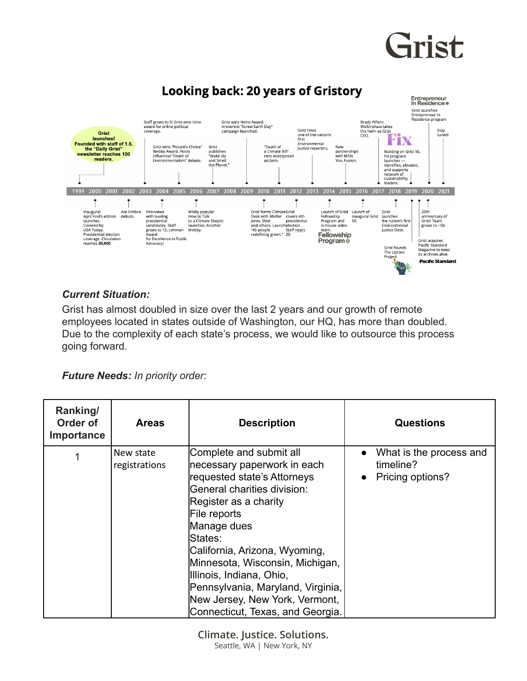# Grist



#### *Current Situation:*

Grist has almost doubled in size over the last 2 years and our growth of remote employees located in states outside of Washington, our HQ, has more than doubled. Due to the complexity of each state's process, we would like to outsource this process going forward.

*Future Needs: In priority order:*

| Ranking/<br>Order of<br><b>Importance</b> | <b>Areas</b>               | <b>Description</b>                                                                                                                                                                                                                                                                                                                                                                                 | <b>Questions</b>                                                                   |
|-------------------------------------------|----------------------------|----------------------------------------------------------------------------------------------------------------------------------------------------------------------------------------------------------------------------------------------------------------------------------------------------------------------------------------------------------------------------------------------------|------------------------------------------------------------------------------------|
|                                           | New state<br>registrations | Complete and submit all<br>necessary paperwork in each<br>requested state's Attorneys<br>General charities division:<br>Register as a charity<br>File reports<br>Manage dues<br>States:<br>California, Arizona, Wyoming,<br>Minnesota, Wisconsin, Michigan,<br>Illinois, Indiana, Ohio,<br>Pennsylvania, Maryland, Virginia,<br>New Jersey, New York, Vermont,<br>Connecticut, Texas, and Georgia. | What is the process and<br>$\bullet$<br>timeline?<br>Pricing options?<br>$\bullet$ |